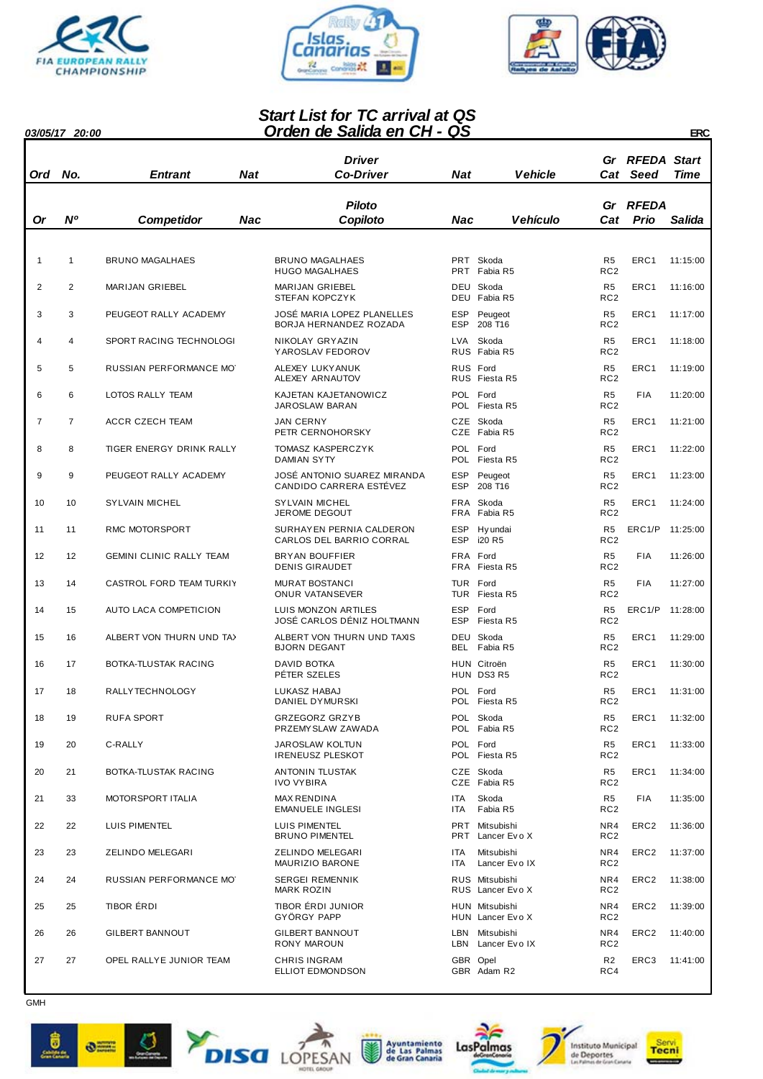





## *Orden de Salida en CH - QS Start List for TC arrival at QS*

| 03/05/17 20:00 |  |
|----------------|--|

| <u> Orden de Salida en CH - QS</u><br><i><b>03/05/17 20:00</b></i><br>ERC |                |                                 |     |                                                        |                          |                                     |                                   |                                |          |
|---------------------------------------------------------------------------|----------------|---------------------------------|-----|--------------------------------------------------------|--------------------------|-------------------------------------|-----------------------------------|--------------------------------|----------|
| Ord                                                                       | No.            | <b>Entrant</b>                  | Nat | <b>Driver</b><br><b>Co-Driver</b>                      | Nat                      | <b>Vehicle</b>                      | Gr                                | <b>RFEDA Start</b><br>Cat Seed | Time     |
| Or                                                                        | N°             | <b>Competidor</b>               | Nac | Piloto<br>Copiloto                                     | Nac                      | Vehículo                            | Gr<br>Cat                         | <b>RFEDA</b><br>Prio           | Salida   |
|                                                                           |                |                                 |     |                                                        |                          |                                     |                                   |                                |          |
| 1                                                                         | 1              | <b>BRUNO MAGALHAES</b>          |     | <b>BRUNO MAGALHAES</b><br><b>HUGO MAGALHAES</b>        |                          | PRT Skoda<br>PRT Fabia R5           | R <sub>5</sub><br>RC <sub>2</sub> | ERC1                           | 11:15:00 |
| 2                                                                         | 2              | MARIJAN GRIEBEL                 |     | <b>MARIJAN GRIEBEL</b><br>STEFAN KOPCZYK               |                          | DEU Skoda<br>DEU Fabia R5           | R <sub>5</sub><br>RC <sub>2</sub> | ERC1                           | 11:16:00 |
| 3                                                                         | 3              | PEUGEOT RALLY ACADEMY           |     | JOSÉ MARIA LOPEZ PLANELLES<br>BORJA HERNANDEZ ROZADA   | ESP                      | Peugeot<br>ESP 208 T16              | R <sub>5</sub><br>RC <sub>2</sub> | ERC1                           | 11:17:00 |
| 4                                                                         | 4              | SPORT RACING TECHNOLOGI         |     | NIKOLAY GRYAZIN<br>YAROSLAV FEDOROV                    | LVA                      | Skoda<br>RUS Fabia R5               | R <sub>5</sub><br>RC <sub>2</sub> | ERC1                           | 11:18:00 |
| 5                                                                         | 5              | RUSSIAN PERFORMANCE MOT         |     | ALEXEY LUKY ANUK<br>ALEXEY ARNAUTOV                    |                          | RUS Ford<br>RUS Fiesta R5           | R <sub>5</sub><br>RC <sub>2</sub> | ERC1                           | 11:19:00 |
| 6                                                                         | 6              | <b>LOTOS RALLY TEAM</b>         |     | KAJETAN KAJETANOWICZ<br>JAROSLAW BARAN                 |                          | POL Ford<br>POL Fiesta R5           | R <sub>5</sub><br>RC <sub>2</sub> | <b>FIA</b>                     | 11:20:00 |
| $\overline{7}$                                                            | $\overline{7}$ | <b>ACCR CZECH TEAM</b>          |     | <b>JAN CERNY</b><br>PETR CERNOHORSKY                   |                          | CZE Skoda<br>CZE Fabia R5           | R <sub>5</sub><br>RC <sub>2</sub> | ERC1                           | 11:21:00 |
| 8                                                                         | 8              | TIGER ENERGY DRINK RALLY        |     | <b>TOMASZ KASPERCZYK</b><br><b>DAMIAN SYTY</b>         |                          | POL Ford<br>POL Fiesta R5           | R <sub>5</sub><br>RC <sub>2</sub> | ERC1                           | 11:22:00 |
| 9                                                                         | 9              | PEUGEOT RALLY ACADEMY           |     | JOSÉ ANTONIO SUAREZ MIRANDA<br>CANDIDO CARRERA ESTÉVEZ | <b>ESP</b><br>ESP        | Peugeot<br>208 T16                  | R <sub>5</sub><br>RC <sub>2</sub> | ERC1                           | 11:23:00 |
| 10                                                                        | 10             | <b>SYLVAIN MICHEL</b>           |     | <b>SYLVAIN MICHEL</b><br>JEROME DEGOUT                 |                          | FRA Skoda<br>FRA Fabia R5           | R <sub>5</sub><br>RC <sub>2</sub> | ERC1                           | 11:24:00 |
| 11                                                                        | 11             | RMC MOTORSPORT                  |     | SURHAYEN PERNIA CALDERON<br>CARLOS DEL BARRIO CORRAL   |                          | ESP Hyundai<br>ESP i20 R5           | R5<br>RC <sub>2</sub>             | ERC1/P                         | 11:25:00 |
| 12                                                                        | 12             | <b>GEMINI CLINIC RALLY TEAM</b> |     | <b>BRYAN BOUFFIER</b><br><b>DENIS GIRAUDET</b>         |                          | FRA Ford<br>FRA Fiesta R5           | R <sub>5</sub><br>RC <sub>2</sub> | FIA                            | 11:26:00 |
| 13                                                                        | 14             | CASTROL FORD TEAM TURKIY        |     | <b>MURAT BOSTANCI</b><br>ONUR VATANSEVER               |                          | TUR Ford<br>TUR Fiesta R5           | R <sub>5</sub><br>RC <sub>2</sub> | FIA                            | 11:27:00 |
| 14                                                                        | 15             | AUTO LACA COMPETICION           |     | LUIS MONZON ARTILES<br>JOSÉ CARLOS DÉNIZ HOLTMANN      | <b>ESP</b><br><b>ESP</b> | Ford<br>Fiesta R5                   | R5<br>RC <sub>2</sub>             | ERC1/P                         | 11:28:00 |
| 15                                                                        | 16             | ALBERT VON THURN UND TA)        |     | ALBERT VON THURN UND TAXIS<br><b>BJORN DEGANT</b>      |                          | DEU Skoda<br>BEL Fabia R5           | R5<br>RC <sub>2</sub>             | ERC1                           | 11:29:00 |
| 16                                                                        | 17             | <b>BOTKA-TLUSTAK RACING</b>     |     | DAVID BOTKA<br>PÊTER SZELES                            |                          | HUN Citroën<br>HUN DS3 R5           | R <sub>5</sub><br>RC <sub>2</sub> | ERC1                           | 11:30:00 |
| 17                                                                        | 18             | RALLYTECHNOLOGY                 |     | LUKASZ HABAJ<br>DANIEL DYMURSKI                        |                          | POL Ford<br>POL Fiesta R5           | R <sub>5</sub><br>RC <sub>2</sub> | ERC1                           | 11:31:00 |
| 18                                                                        | 19             | RUFA SPORT                      |     | <b>GRZEGORZ GRZYB</b><br>PRZEMY SLAW ZAWADA            |                          | POL Skoda<br>POL Fabia R5           | R5<br>RC <sub>2</sub>             | ERC1                           | 11:32:00 |
| 19                                                                        | 20             | C-RALLY                         |     | <b>JAROSLAW KOLTUN</b><br><b>IRENEUSZ PLESKOT</b>      |                          | POL Ford<br>POL Fiesta R5           | R <sub>5</sub><br>RC <sub>2</sub> | ERC1                           | 11:33:00 |
| 20                                                                        | 21             | <b>BOTKA-TLUSTAK RACING</b>     |     | ANTONIN TLUSTAK<br><b>IVO VYBIRA</b>                   |                          | CZE Skoda<br>CZE Fabia R5           | R <sub>5</sub><br>RC <sub>2</sub> | ERC1                           | 11:34:00 |
| 21                                                                        | 33             | MOTOR SPORT ITALIA              |     | MAX RENDINA<br><b>EMANUELE INGLESI</b>                 | ITA<br>ITA               | Skoda<br>Fabia R5                   | R <sub>5</sub><br>RC <sub>2</sub> | FIA                            | 11:35:00 |
| 22                                                                        | 22             | LUIS PIMENTEL                   |     | LUIS PIMENTEL<br><b>BRUNO PIMENTEL</b>                 |                          | PRT Mitsubishi<br>PRT Lancer Evo X  | NR4<br>RC <sub>2</sub>            | ERC <sub>2</sub>               | 11:36:00 |
| 23                                                                        | 23             | ZELINDO MELEGARI                |     | ZELINDO MELEGARI<br>MAURIZIO BARONE                    | ITA<br>ITA               | Mitsubishi<br>Lancer EvolX          | NR4<br>RC <sub>2</sub>            | ERC <sub>2</sub>               | 11:37:00 |
| 24                                                                        | 24             | RUSSIAN PERFORMANCE MOT         |     | <b>SERGEI REMENNIK</b><br>MARK ROZIN                   |                          | RUS Mitsubishi<br>RUS Lancer Evo X  | NR4<br>RC <sub>2</sub>            | ERC <sub>2</sub>               | 11:38:00 |
| 25                                                                        | 25             | TIBOR ÉRDI                      |     | TIBOR ÉRDI JUNIOR<br>GYÖRGY PAPP                       |                          | HUN Mitsubishi<br>HUN Lancer Evo X  | NR4<br>RC <sub>2</sub>            | ERC <sub>2</sub>               | 11:39:00 |
| 26                                                                        | 26             | GILBERT BANNOUT                 |     | GILBERT BANNOUT<br>RONY MAROUN                         |                          | LBN Mitsubishi<br>LBN Lancer Evo IX | NR4<br>RC <sub>2</sub>            | ERC <sub>2</sub>               | 11:40:00 |
| 27                                                                        | 27             | OPEL RALLYE JUNIOR TEAM         |     | <b>CHRIS INGRAM</b><br>ELLIOT EDMONDSON                |                          | GBR Opel<br>GBR Adam R2             | R <sub>2</sub><br>RC4             | ERC3                           | 11:41:00 |

**GMH**